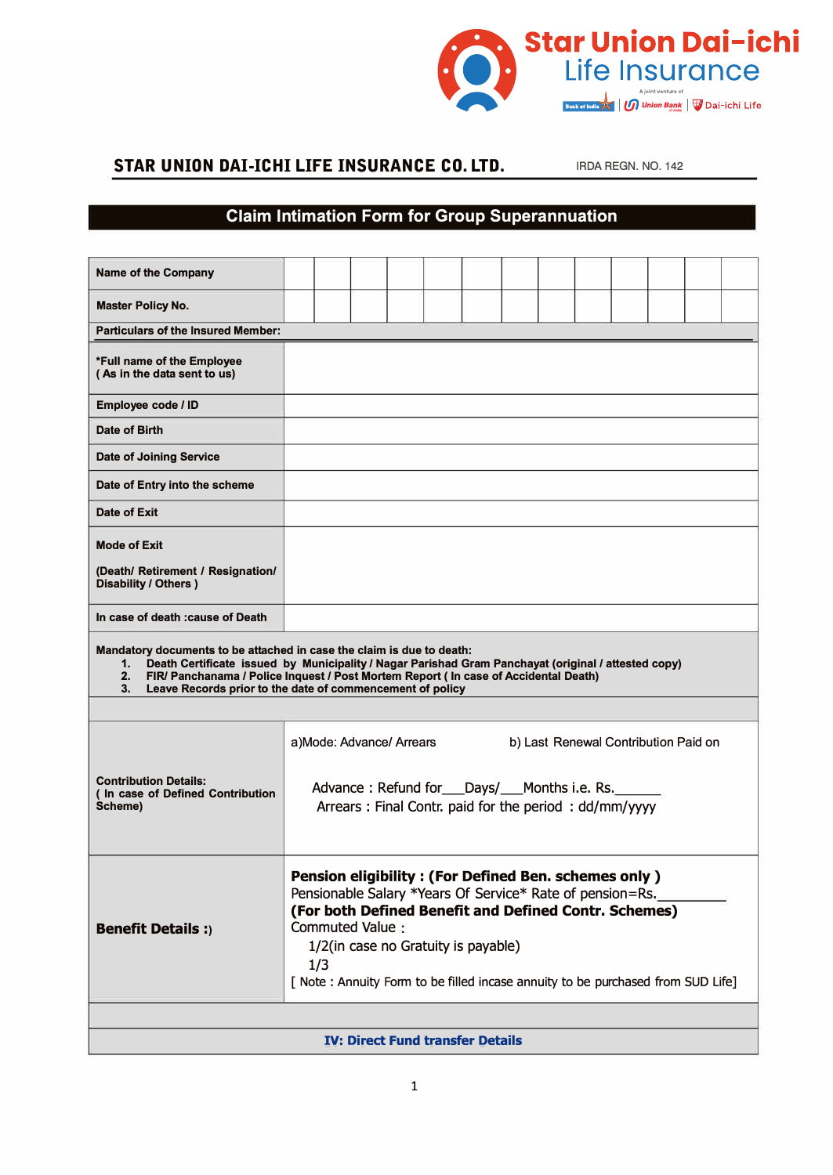

## **STAR UNION DAI-ICHI LIFE INSURANCE CO. LTD. IRDA REGN. NO. 142**

## **Claim Intimation Form for Group Superannuation**

| <b>Name of the Company</b>                                                                                                                                                                                                                                                                                                                       |                                                                                                                                                                                                                                                                                                                                        |  |  |                          |  |                                                                                                            |  |  |                                      |  |  |
|--------------------------------------------------------------------------------------------------------------------------------------------------------------------------------------------------------------------------------------------------------------------------------------------------------------------------------------------------|----------------------------------------------------------------------------------------------------------------------------------------------------------------------------------------------------------------------------------------------------------------------------------------------------------------------------------------|--|--|--------------------------|--|------------------------------------------------------------------------------------------------------------|--|--|--------------------------------------|--|--|
| <b>Master Policy No.</b>                                                                                                                                                                                                                                                                                                                         |                                                                                                                                                                                                                                                                                                                                        |  |  |                          |  |                                                                                                            |  |  |                                      |  |  |
| <b>Particulars of the Insured Member:</b>                                                                                                                                                                                                                                                                                                        |                                                                                                                                                                                                                                                                                                                                        |  |  |                          |  |                                                                                                            |  |  |                                      |  |  |
| *Full name of the Employee<br>(As in the data sent to us)                                                                                                                                                                                                                                                                                        |                                                                                                                                                                                                                                                                                                                                        |  |  |                          |  |                                                                                                            |  |  |                                      |  |  |
| Employee code / ID                                                                                                                                                                                                                                                                                                                               |                                                                                                                                                                                                                                                                                                                                        |  |  |                          |  |                                                                                                            |  |  |                                      |  |  |
| Date of Birth                                                                                                                                                                                                                                                                                                                                    |                                                                                                                                                                                                                                                                                                                                        |  |  |                          |  |                                                                                                            |  |  |                                      |  |  |
| <b>Date of Joining Service</b>                                                                                                                                                                                                                                                                                                                   |                                                                                                                                                                                                                                                                                                                                        |  |  |                          |  |                                                                                                            |  |  |                                      |  |  |
| Date of Entry into the scheme                                                                                                                                                                                                                                                                                                                    |                                                                                                                                                                                                                                                                                                                                        |  |  |                          |  |                                                                                                            |  |  |                                      |  |  |
| Date of Exit                                                                                                                                                                                                                                                                                                                                     |                                                                                                                                                                                                                                                                                                                                        |  |  |                          |  |                                                                                                            |  |  |                                      |  |  |
| <b>Mode of Exit</b>                                                                                                                                                                                                                                                                                                                              |                                                                                                                                                                                                                                                                                                                                        |  |  |                          |  |                                                                                                            |  |  |                                      |  |  |
| (Death/ Retirement / Resignation/<br>Disability / Others )                                                                                                                                                                                                                                                                                       |                                                                                                                                                                                                                                                                                                                                        |  |  |                          |  |                                                                                                            |  |  |                                      |  |  |
| In case of death : cause of Death                                                                                                                                                                                                                                                                                                                |                                                                                                                                                                                                                                                                                                                                        |  |  |                          |  |                                                                                                            |  |  |                                      |  |  |
| Mandatory documents to be attached in case the claim is due to death:<br>Death Certificate issued by Municipality / Nagar Parishad Gram Panchayat (original / attested copy)<br>1.<br>2. FIR/ Panchanama / Police Inquest / Post Mortem Report ( In case of Accidental Death)<br>Leave Records prior to the date of commencement of policy<br>3. |                                                                                                                                                                                                                                                                                                                                        |  |  |                          |  |                                                                                                            |  |  |                                      |  |  |
|                                                                                                                                                                                                                                                                                                                                                  |                                                                                                                                                                                                                                                                                                                                        |  |  | a)Mode: Advance/ Arrears |  |                                                                                                            |  |  | b) Last Renewal Contribution Paid on |  |  |
| <b>Contribution Details:</b><br>(In case of Defined Contribution<br>Scheme)                                                                                                                                                                                                                                                                      |                                                                                                                                                                                                                                                                                                                                        |  |  |                          |  | Advance: Refund for ___ Days/____ Months i.e. Rs.<br>Arrears: Final Contr. paid for the period: dd/mm/yyyy |  |  |                                      |  |  |
| <b>Benefit Details:</b>                                                                                                                                                                                                                                                                                                                          | <b>Pension eligibility: (For Defined Ben. schemes only)</b><br>Pensionable Salary *Years Of Service* Rate of pension=Rs.<br>(For both Defined Benefit and Defined Contr. Schemes)<br>Commuted Value:<br>1/2(in case no Gratuity is payable)<br>1/3<br>[ Note : Annuity Form to be filled incase annuity to be purchased from SUD Life] |  |  |                          |  |                                                                                                            |  |  |                                      |  |  |
|                                                                                                                                                                                                                                                                                                                                                  |                                                                                                                                                                                                                                                                                                                                        |  |  |                          |  |                                                                                                            |  |  |                                      |  |  |
| <b>IV: Direct Fund transfer Details</b>                                                                                                                                                                                                                                                                                                          |                                                                                                                                                                                                                                                                                                                                        |  |  |                          |  |                                                                                                            |  |  |                                      |  |  |